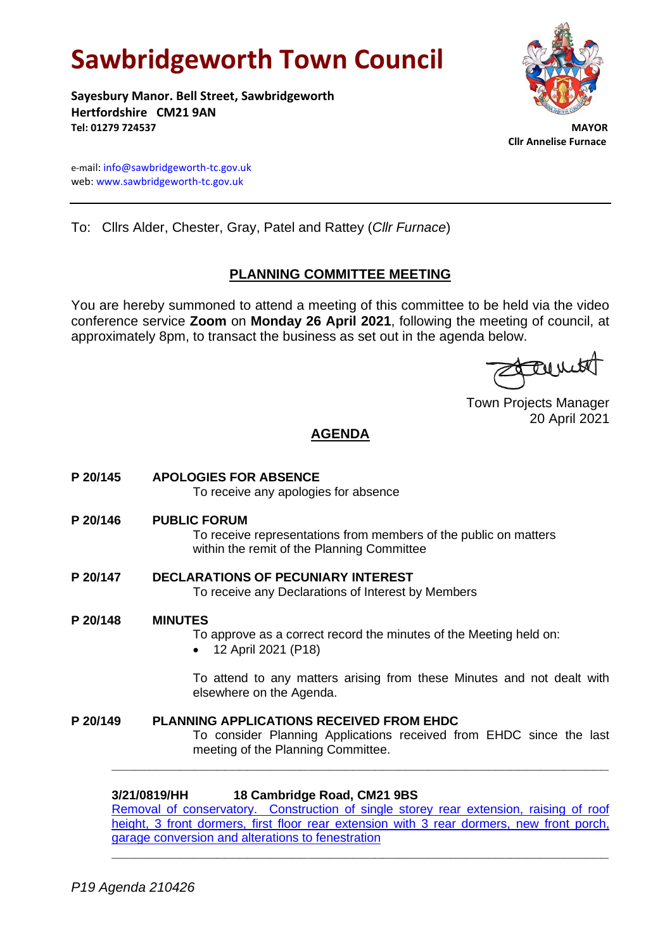# **Sawbridgeworth Town Council**

**Sayesbury Manor. Bell Street, Sawbridgeworth Hertfordshire CM21 9AN Tel: 01279 724537 MAYOR**



 **Cllr Annelise Furnace**

e-mail[: info@sawbridgeworth-tc.gov.uk](mailto:info@sawbridgeworth-tc.gov.uk) web: www.sawbridgeworth-tc.gov.uk

To: Cllrs Alder, Chester, Gray, Patel and Rattey (*Cllr Furnace*)

### **PLANNING COMMITTEE MEETING**

You are hereby summoned to attend a meeting of this committee to be held via the video conference service **Zoom** on **Monday 26 April 2021**, following the meeting of council, at approximately 8pm, to transact the business as set out in the agenda below.

Tourit

Town Projects Manager 20 April 2021

## **AGENDA**

- **P 20/145 APOLOGIES FOR ABSENCE** To receive any apologies for absence **P 20/146 PUBLIC FORUM** To receive representations from members of the public on matters within the remit of the Planning Committee **P 20/147 DECLARATIONS OF PECUNIARY INTEREST** To receive any Declarations of Interest by Members
- **P 20/148 MINUTES** To approve as a correct record the minutes of the Meeting held on: • 12 April 2021 (P18)

To attend to any matters arising from these Minutes and not dealt with elsewhere on the Agenda.

**P 20/149 PLANNING APPLICATIONS RECEIVED FROM EHDC** To consider Planning Applications received from EHDC since the last meeting of the Planning Committee.

#### **3/21/0819/HH 18 Cambridge Road, CM21 9BS**

[Removal of conservatory. Construction of single storey rear extension, raising of roof](https://publicaccess.eastherts.gov.uk/online-applications/applicationDetails.do?activeTab=documents&keyVal=QQMBQIGLLS000)  height, 3 front dormers, first floor rear extension with 3 rear dormers, new front porch, [garage conversion and alterations to fenestration](https://publicaccess.eastherts.gov.uk/online-applications/applicationDetails.do?activeTab=documents&keyVal=QQMBQIGLLS000)

**\_\_\_\_\_\_\_\_\_\_\_\_\_\_\_\_\_\_\_\_\_\_\_\_\_\_\_\_\_\_\_\_\_\_\_\_\_\_\_\_\_\_\_\_\_\_\_\_\_\_\_\_\_\_\_\_\_\_\_\_\_\_\_\_\_\_**

**\_\_\_\_\_\_\_\_\_\_\_\_\_\_\_\_\_\_\_\_\_\_\_\_\_\_\_\_\_\_\_\_\_\_\_\_\_\_\_\_\_\_\_\_\_\_\_\_\_\_\_\_\_\_\_\_\_\_\_\_\_\_\_\_\_\_**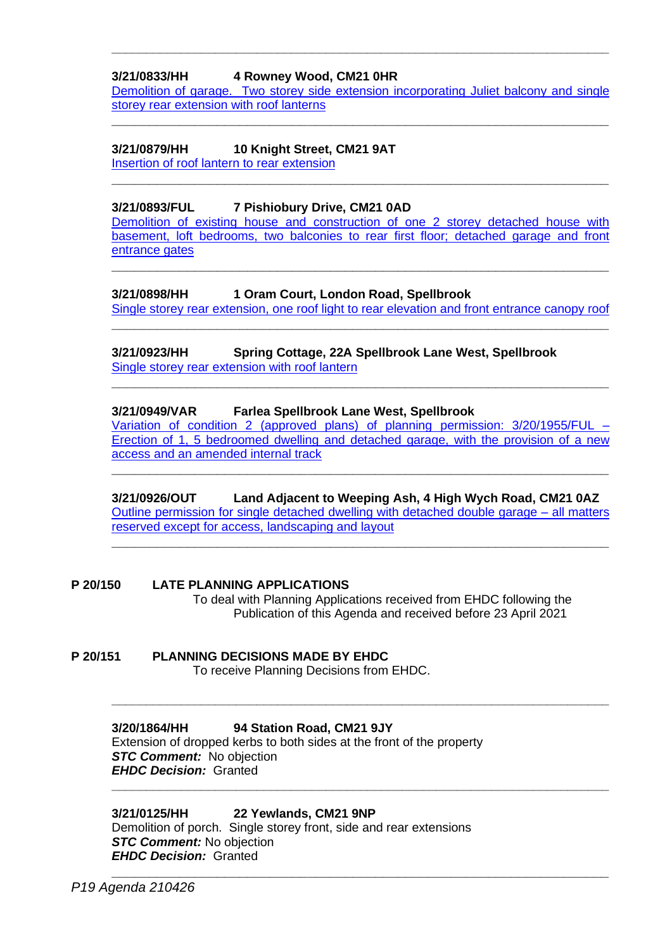#### **3/21/0833/HH 4 Rowney Wood, CM21 0HR**

Demolition [of garage. Two storey side extension incorporating Juliet](https://publicaccess.eastherts.gov.uk/online-applications/applicationDetails.do?activeTab=documents&keyVal=QQQKG5GLLT400) balcony and single [storey rear extension with roof lanterns](https://publicaccess.eastherts.gov.uk/online-applications/applicationDetails.do?activeTab=documents&keyVal=QQQKG5GLLT400)

**\_\_\_\_\_\_\_\_\_\_\_\_\_\_\_\_\_\_\_\_\_\_\_\_\_\_\_\_\_\_\_\_\_\_\_\_\_\_\_\_\_\_\_\_\_\_\_\_\_\_\_\_\_\_\_\_\_\_\_\_\_\_\_\_\_\_**

**\_\_\_\_\_\_\_\_\_\_\_\_\_\_\_\_\_\_\_\_\_\_\_\_\_\_\_\_\_\_\_\_\_\_\_\_\_\_\_\_\_\_\_\_\_\_\_\_\_\_\_\_\_\_\_\_\_\_\_\_\_\_\_\_\_\_**

**\_\_\_\_\_\_\_\_\_\_\_\_\_\_\_\_\_\_\_\_\_\_\_\_\_\_\_\_\_\_\_\_\_\_\_\_\_\_\_\_\_\_\_\_\_\_\_\_\_\_\_\_\_\_\_\_\_\_\_\_\_\_\_\_\_\_\_\_\_\_\_\_**

#### **3/21/0879/HH 10 Knight Street, CM21 9AT**

[Insertion of roof lantern](https://publicaccess.eastherts.gov.uk/online-applications/applicationDetails.do?activeTab=documents&keyVal=QR52MPGLLWR00) to rear extension

#### **3/21/0893/FUL 7 Pishiobury Drive, CM21 0AD**

[Demolition of existing house and construction of one 2 storey detached house with](https://publicaccess.eastherts.gov.uk/online-applications/applicationDetails.do?activeTab=documents&keyVal=QR6PPXGL04O00)  [basement, loft bedrooms, two balconies to rear first floor; detached garage and front](https://publicaccess.eastherts.gov.uk/online-applications/applicationDetails.do?activeTab=documents&keyVal=QR6PPXGL04O00) [entrance gates](https://publicaccess.eastherts.gov.uk/online-applications/applicationDetails.do?activeTab=documents&keyVal=QR6PPXGL04O00)

**\_\_\_\_\_\_\_\_\_\_\_\_\_\_\_\_\_\_\_\_\_\_\_\_\_\_\_\_\_\_\_\_\_\_\_\_\_\_\_\_\_\_\_\_\_\_\_\_\_\_\_\_\_\_\_\_\_\_\_\_\_\_\_\_\_\_**

#### **3/21/0898/HH 1 Oram Court, London Road, Spellbrook**

[Single storey rear extension, one roof light to rear elevation and front entrance canopy roof](https://publicaccess.eastherts.gov.uk/online-applications/applicationDetails.do?activeTab=documents&keyVal=QR78FWGLLXL00) **\_\_\_\_\_\_\_\_\_\_\_\_\_\_\_\_\_\_\_\_\_\_\_\_\_\_\_\_\_\_\_\_\_\_\_\_\_\_\_\_\_\_\_\_\_\_\_\_\_\_\_\_\_\_\_\_\_\_\_\_\_\_\_\_\_\_**

#### **3/21/0923/HH Spring Cottage, 22A Spellbrook Lane West, Spellbrook** [Single storey rear extension with roof lantern](https://publicaccess.eastherts.gov.uk/online-applications/applicationDetails.do?activeTab=documents&keyVal=QRAMMFGLLYZ00)

#### **3/21/0949/VAR Farlea Spellbrook Lane West, Spellbrook**

[Variation of condition 2 \(approved plans\)](https://publicaccess.eastherts.gov.uk/online-applications/applicationDetails.do?activeTab=documents&keyVal=QRHQ8MGLM1100) of planning permission: 3/20/1955/FUL – [Erection of 1, 5 bedroomed dwelling and detached garage, with the provision of a new](https://publicaccess.eastherts.gov.uk/online-applications/applicationDetails.do?activeTab=documents&keyVal=QRHQ8MGLM1100)  [access and an amended internal track](https://publicaccess.eastherts.gov.uk/online-applications/applicationDetails.do?activeTab=documents&keyVal=QRHQ8MGLM1100)

**\_\_\_\_\_\_\_\_\_\_\_\_\_\_\_\_\_\_\_\_\_\_\_\_\_\_\_\_\_\_\_\_\_\_\_\_\_\_\_\_\_\_\_\_\_\_\_\_\_\_\_\_\_\_\_\_\_\_\_\_\_\_\_\_\_\_**

**\_\_\_\_\_\_\_\_\_\_\_\_\_\_\_\_\_\_\_\_\_\_\_\_\_\_\_\_\_\_\_\_\_\_\_\_\_\_\_\_\_\_\_\_\_\_\_\_\_\_\_\_\_\_\_\_\_\_\_\_\_\_\_\_\_\_**

#### **3/21/0926/OUT Land Adjacent to Weeping Ash, 4 High Wych Road, CM21 0AZ** [Outline permission for single detached dwelling with detached double garage –](https://publicaccess.eastherts.gov.uk/online-applications/applicationDetails.do?activeTab=documents&keyVal=QRAXRHGLLZ600) all matters [reserved except for access, landscaping and layout](https://publicaccess.eastherts.gov.uk/online-applications/applicationDetails.do?activeTab=documents&keyVal=QRAXRHGLLZ600)

**\_\_\_\_\_\_\_\_\_\_\_\_\_\_\_\_\_\_\_\_\_\_\_\_\_\_\_\_\_\_\_\_\_\_\_\_\_\_\_\_\_\_\_\_\_\_\_\_\_\_\_\_\_\_\_\_\_\_\_\_\_\_\_\_\_\_**

**\_\_\_\_\_\_\_\_\_\_\_\_\_\_\_\_\_\_\_\_\_\_\_\_\_\_\_\_\_\_\_\_\_\_\_\_\_\_\_\_\_\_\_\_\_\_\_\_\_\_\_\_\_\_\_\_\_\_\_\_\_\_\_\_\_\_\_\_\_\_\_\_**

**\_\_\_\_\_\_\_\_\_\_\_\_\_\_\_\_\_\_\_\_\_\_\_\_\_\_\_\_\_\_\_\_\_\_\_\_\_\_\_\_\_\_\_\_\_\_\_\_\_\_\_\_\_\_\_\_\_\_\_\_\_\_\_\_\_\_\_\_\_\_\_\_**

**\_\_\_\_\_\_\_\_\_\_\_\_\_\_\_\_\_\_\_\_\_\_\_\_\_\_\_\_\_\_\_\_\_\_\_\_\_\_\_\_\_\_\_\_\_\_\_\_\_\_\_\_\_\_\_\_\_\_\_\_\_\_\_\_\_\_**

**P 20/150 LATE PLANNING APPLICATIONS** To deal with Planning Applications received from EHDC following the Publication of this Agenda and received before 23 April 2021

# **P 20/151 PLANNING DECISIONS MADE BY EHDC**

To receive Planning Decisions from EHDC.

#### **3/20/1864/HH 94 Station Road, CM21 9JY**

Extension of dropped kerbs to both sides at the front of the property **STC Comment:** No objection *EHDC Decision:* Granted

#### **3/21/0125/HH 22 Yewlands, CM21 9NP**

Demolition of porch. Single storey front, side and rear extensions *STC Comment:* No objection *EHDC Decision:* Granted